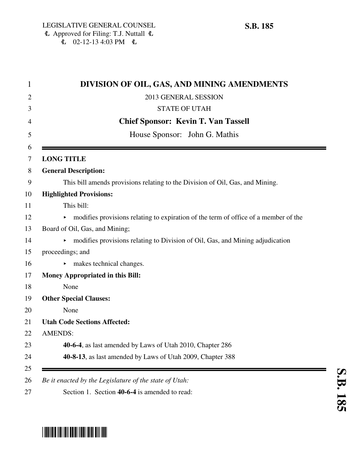| DIVISION OF OIL, GAS, AND MINING AMENDMENTS                                           |
|---------------------------------------------------------------------------------------|
| 2013 GENERAL SESSION                                                                  |
| <b>STATE OF UTAH</b>                                                                  |
| <b>Chief Sponsor: Kevin T. Van Tassell</b>                                            |
| House Sponsor: John G. Mathis                                                         |
| <b>LONG TITLE</b>                                                                     |
| <b>General Description:</b>                                                           |
| This bill amends provisions relating to the Division of Oil, Gas, and Mining.         |
| <b>Highlighted Provisions:</b>                                                        |
| This bill:                                                                            |
| • modifies provisions relating to expiration of the term of office of a member of the |
| Board of Oil, Gas, and Mining;                                                        |
| modifies provisions relating to Division of Oil, Gas, and Mining adjudication         |
| proceedings; and                                                                      |
| makes technical changes.                                                              |
| <b>Money Appropriated in this Bill:</b>                                               |
| None                                                                                  |
| <b>Other Special Clauses:</b>                                                         |
| None                                                                                  |
| <b>Utah Code Sections Affected:</b>                                                   |
| <b>AMENDS:</b>                                                                        |
| 40-6-4, as last amended by Laws of Utah 2010, Chapter 286                             |
| 40-8-13, as last amended by Laws of Utah 2009, Chapter 388                            |



## \*SB0185\*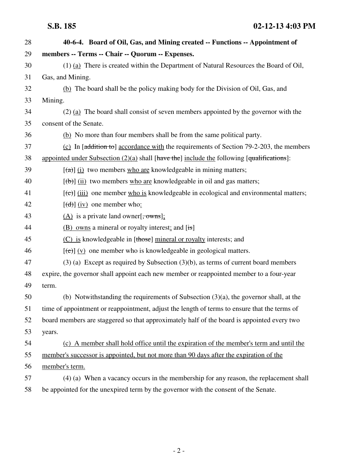| 28 | 40-6-4. Board of Oil, Gas, and Mining created -- Functions -- Appointment of                   |
|----|------------------------------------------------------------------------------------------------|
| 29 | members -- Terms -- Chair -- Quorum -- Expenses.                                               |
| 30 | $(1)$ (a) There is created within the Department of Natural Resources the Board of Oil,        |
| 31 | Gas, and Mining.                                                                               |
| 32 | (b) The board shall be the policy making body for the Division of Oil, Gas, and                |
| 33 | Mining.                                                                                        |
| 34 | $(2)$ (a) The board shall consist of seven members appointed by the governor with the          |
| 35 | consent of the Senate.                                                                         |
| 36 | (b) No more than four members shall be from the same political party.                          |
| 37 | (c) In $[addition to]$ accordance with the requirements of Section 79-2-203, the members       |
| 38 | appointed under Subsection $(2)(a)$ shall [have the] include the following [qualifications]:   |
| 39 | $[\text{a}(\text{a})]$ (i) two members who are knowledgeable in mining matters;                |
| 40 | $[\text{(+)}]$ (ii) two members who are knowledgeable in oil and gas matters;                  |
| 41 | $[\text{(-c)}]$ (iii) one member who is knowledgeable in ecological and environmental matters; |
| 42 | $[\text{d} \theta]$ (iv) one member who:                                                       |
| 43 | $(A)$ is a private land owner $\frac{1}{2}$ owns];                                             |
| 44 | $(B)$ owns a mineral or royalty interest; and [is]                                             |
| 45 | (C) is knowledgeable in [those] mineral or royalty interests; and                              |
| 46 | $[\text{e}(\text{e})]$ (v) one member who is knowledgeable in geological matters.              |
| 47 | $(3)$ (a) Except as required by Subsection $(3)(b)$ , as terms of current board members        |
| 48 | expire, the governor shall appoint each new member or reappointed member to a four-year        |
| 49 | term.                                                                                          |
| 50 | (b) Notwithstanding the requirements of Subsection $(3)(a)$ , the governor shall, at the       |
| 51 | time of appointment or reappointment, adjust the length of terms to ensure that the terms of   |
| 52 | board members are staggered so that approximately half of the board is appointed every two     |
| 53 | years.                                                                                         |
| 54 | (c) A member shall hold office until the expiration of the member's term and until the         |
| 55 | member's successor is appointed, but not more than 90 days after the expiration of the         |
| 56 | member's term.                                                                                 |
| 57 | (4) (a) When a vacancy occurs in the membership for any reason, the replacement shall          |
| 58 | be appointed for the unexpired term by the governor with the consent of the Senate.            |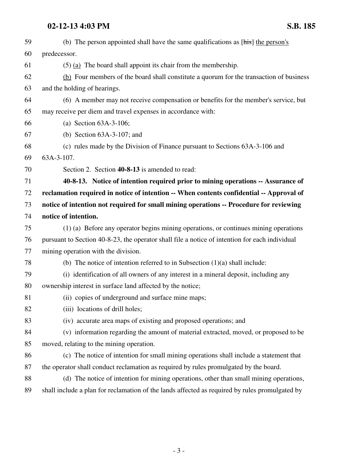## **02-12-13 4:03 PM S.B. 185**

| 59 | (b) The person appointed shall have the same qualifications as [his] the person's              |
|----|------------------------------------------------------------------------------------------------|
| 60 | predecessor.                                                                                   |
| 61 | $(5)$ (a) The board shall appoint its chair from the membership.                               |
| 62 | (b) Four members of the board shall constitute a quorum for the transaction of business        |
| 63 | and the holding of hearings.                                                                   |
| 64 | (6) A member may not receive compensation or benefits for the member's service, but            |
| 65 | may receive per diem and travel expenses in accordance with:                                   |
| 66 | (a) Section $63A-3-106$ ;                                                                      |
| 67 | (b) Section $63A-3-107$ ; and                                                                  |
| 68 | (c) rules made by the Division of Finance pursuant to Sections 63A-3-106 and                   |
| 69 | 63A-3-107.                                                                                     |
| 70 | Section 2. Section 40-8-13 is amended to read:                                                 |
| 71 | 40-8-13. Notice of intention required prior to mining operations -- Assurance of               |
| 72 | reclamation required in notice of intention -- When contents confidential -- Approval of       |
| 73 | notice of intention not required for small mining operations -- Procedure for reviewing        |
| 74 | notice of intention.                                                                           |
| 75 | (1) (a) Before any operator begins mining operations, or continues mining operations           |
| 76 | pursuant to Section 40-8-23, the operator shall file a notice of intention for each individual |
| 77 | mining operation with the division.                                                            |
| 78 | (b) The notice of intention referred to in Subsection $(1)(a)$ shall include:                  |
| 79 | (i) identification of all owners of any interest in a mineral deposit, including any           |
| 80 | ownership interest in surface land affected by the notice;                                     |
| 81 | (ii) copies of underground and surface mine maps;                                              |
| 82 | (iii) locations of drill holes;                                                                |
| 83 | (iv) accurate area maps of existing and proposed operations; and                               |
| 84 | (v) information regarding the amount of material extracted, moved, or proposed to be           |
| 85 | moved, relating to the mining operation.                                                       |
| 86 | (c) The notice of intention for small mining operations shall include a statement that         |
| 87 | the operator shall conduct reclamation as required by rules promulgated by the board.          |
| 88 | (d) The notice of intention for mining operations, other than small mining operations,         |
| 89 | shall include a plan for reclamation of the lands affected as required by rules promulgated by |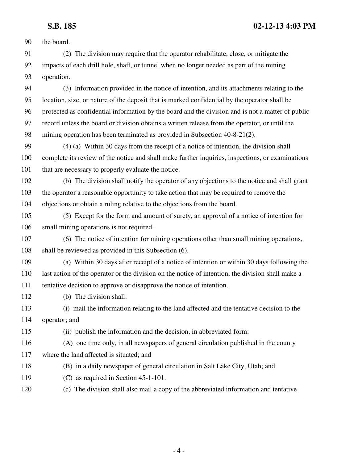90 the board. 91 (2) The division may require that the operator rehabilitate, close, or mitigate the 92 impacts of each drill hole, shaft, or tunnel when no longer needed as part of the mining 93 operation. 94 (3) Information provided in the notice of intention, and its attachments relating to the 95 location, size, or nature of the deposit that is marked confidential by the operator shall be 96 protected as confidential information by the board and the division and is not a matter of public 97 record unless the board or division obtains a written release from the operator, or until the 98 mining operation has been terminated as provided in Subsection 40-8-21(2). 99 (4) (a) Within 30 days from the receipt of a notice of intention, the division shall 100 complete its review of the notice and shall make further inquiries, inspections, or examinations 101 that are necessary to properly evaluate the notice. 102 (b) The division shall notify the operator of any objections to the notice and shall grant 103 the operator a reasonable opportunity to take action that may be required to remove the 104 objections or obtain a ruling relative to the objections from the board. 105 (5) Except for the form and amount of surety, an approval of a notice of intention for 106 small mining operations is not required. 107 (6) The notice of intention for mining operations other than small mining operations, 108 shall be reviewed as provided in this Subsection (6). 109 (a) Within 30 days after receipt of a notice of intention or within 30 days following the 110 last action of the operator or the division on the notice of intention, the division shall make a 111 tentative decision to approve or disapprove the notice of intention. 112 (b) The division shall: 113 (i) mail the information relating to the land affected and the tentative decision to the 114 operator; and 115 (ii) publish the information and the decision, in abbreviated form: 116 (A) one time only, in all newspapers of general circulation published in the county 117 where the land affected is situated; and 118 (B) in a daily newspaper of general circulation in Salt Lake City, Utah; and 119 (C) as required in Section 45-1-101. 120 (c) The division shall also mail a copy of the abbreviated information and tentative